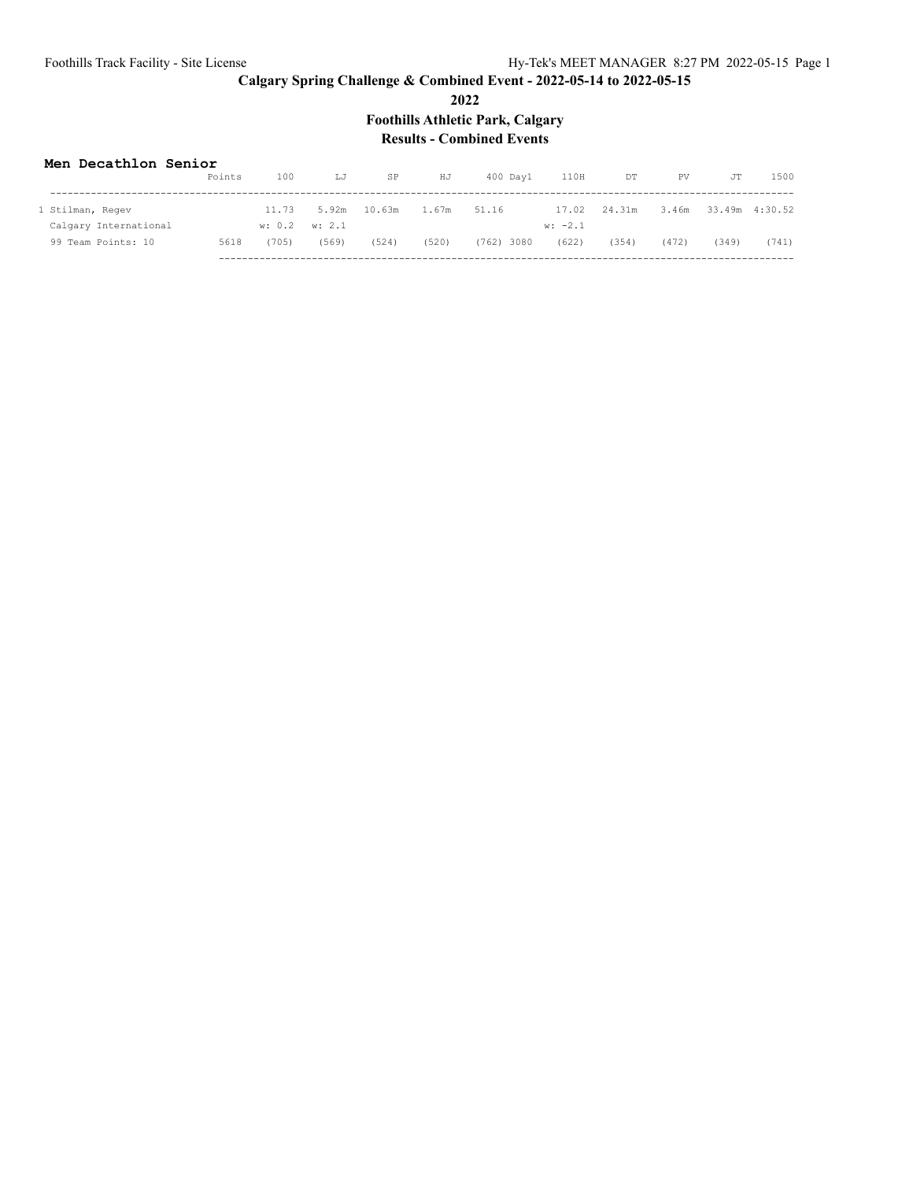**2022**

**Foothills Athletic Park, Calgary**

## **Results - Combined Events**

#### **Men Decathlon Senior**

|                       | Points | 100                   | LJ    | SP           | HJ    | $400$ Davl   | 110H      | DT     | PV.   | JT    | 1500           |
|-----------------------|--------|-----------------------|-------|--------------|-------|--------------|-----------|--------|-------|-------|----------------|
| 1 Stilman, Regev      |        | 11.73                 |       | 5.92m 10.63m | 1.67m | 51.16        | 17.02     | 24.31m | 3.46m |       | 33.49m 4:30.52 |
| Calgary International |        | $w: 0.2 \quad w: 2.1$ |       |              |       |              | $w: -2.1$ |        |       |       |                |
| 99 Team Points: 10    | 5618   | (705)                 | (569) | (524)        | (520) | $(762)$ 3080 | (622)     | (354)  | (472) | (349) | (741)          |
|                       |        |                       |       |              |       |              |           |        |       |       |                |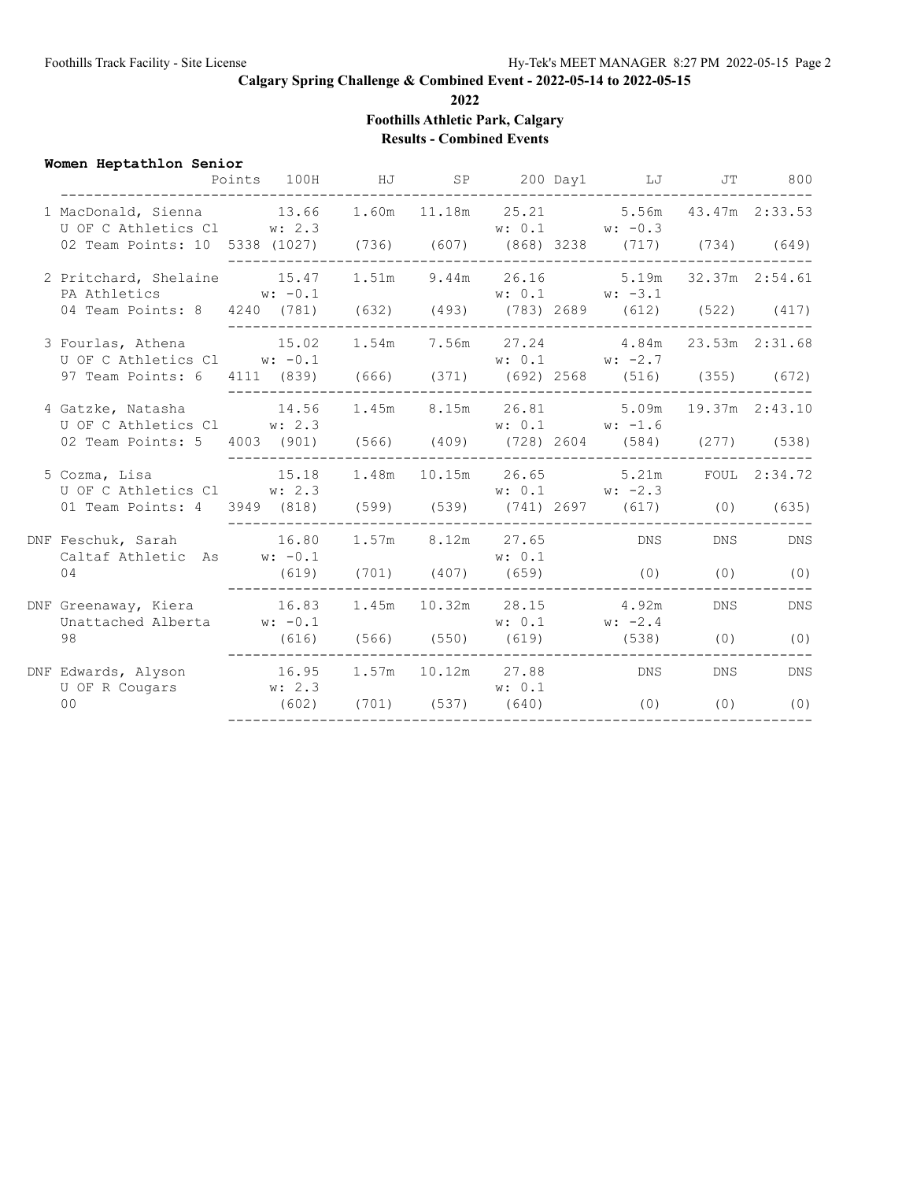**2022**

**Foothills Athletic Park, Calgary**

**Results - Combined Events**

| Women Heptathlon Senior                                                                                         | Points 100H HJ SP 200 Day1 LJ JT 800 |  |        |                                                                |                |            |
|-----------------------------------------------------------------------------------------------------------------|--------------------------------------|--|--------|----------------------------------------------------------------|----------------|------------|
| 1 MacDonald, Sienna 13.66 1.60m 11.18m 25.21 5.56m 43.47m 2:33.53<br>U OF C Athletics Cl w: 2.3                 |                                      |  |        | $w: 0.1$ $w: -0.3$                                             |                |            |
| 02 Team Points: 10 5338 (1027) (736) (607) (868) 3238 (717) (734) (649)                                         |                                      |  |        |                                                                |                |            |
| 2 Pritchard, Shelaine 15.47<br>PA Athletics $w: -0.1$                                                           |                                      |  |        | $1.51m$ 9.44m 26.16 5.19m 32.37m 2:54.61<br>$w: 0.1$ $w: -3.1$ |                |            |
| 04 Team Points: 8 4240 (781) (632) (493) (783) 2689 (612) (522) (417)                                           |                                      |  |        |                                                                |                |            |
| 3 Fourlas, Athena $15.02$ $1.54$ m $7.56$ m $27.24$ $4.84$ m $23.53$ m $2:31.68$<br>U OF C Athletics Cl w: -0.1 |                                      |  |        | $w: 0.1$ $w: -2.7$                                             |                |            |
| 97 Team Points: 6 4111 (839) (666) (371) (692) 2568 (516) (355) (672)                                           |                                      |  |        |                                                                |                |            |
| 4 Gatzke, Natasha 14.56<br>U OF C Athletics Cl w: 2.3                                                           |                                      |  |        | 1.45m 8.15m 26.81 5.09m<br>$w: 0.1$ $w: -1.6$                  | 19.37m 2:43.10 |            |
| 02 Team Points: 5 4003 (901) (566) (409) (728) 2604 (584) (277) (538)                                           |                                      |  |        |                                                                |                |            |
|                                                                                                                 |                                      |  |        |                                                                |                |            |
| U OF C Athletics Cl w: 2.3<br>01 Team Points: 4 3949 (818) (599) (539) (741) 2697 (617) (0) (635)               |                                      |  |        |                                                                |                |            |
| Caltaf Athletic As W: -0.1                                                                                      |                                      |  | w: 0.1 |                                                                |                | DNS        |
| 04                                                                                                              | (619) (701) (407) (659) (0) (0)      |  |        |                                                                |                | (0)        |
| Unattached Alberta $w: -0.1$                                                                                    |                                      |  |        | $w: 0.1$ $w: -2.4$                                             | <b>DNS</b>     | <b>DNS</b> |
| 98                                                                                                              |                                      |  |        | $(616)$ $(566)$ $(550)$ $(619)$ $(538)$ $(0)$                  |                | (0)        |
| U OF R Cougars w: 2.3                                                                                           |                                      |  | w: 0.1 |                                                                | <b>DNS</b>     | <b>DNS</b> |
| 0 <sup>0</sup>                                                                                                  | $(602)$ $(701)$ $(537)$ $(640)$      |  |        | (0)                                                            | (0)            | (0)        |
|                                                                                                                 |                                      |  |        |                                                                |                |            |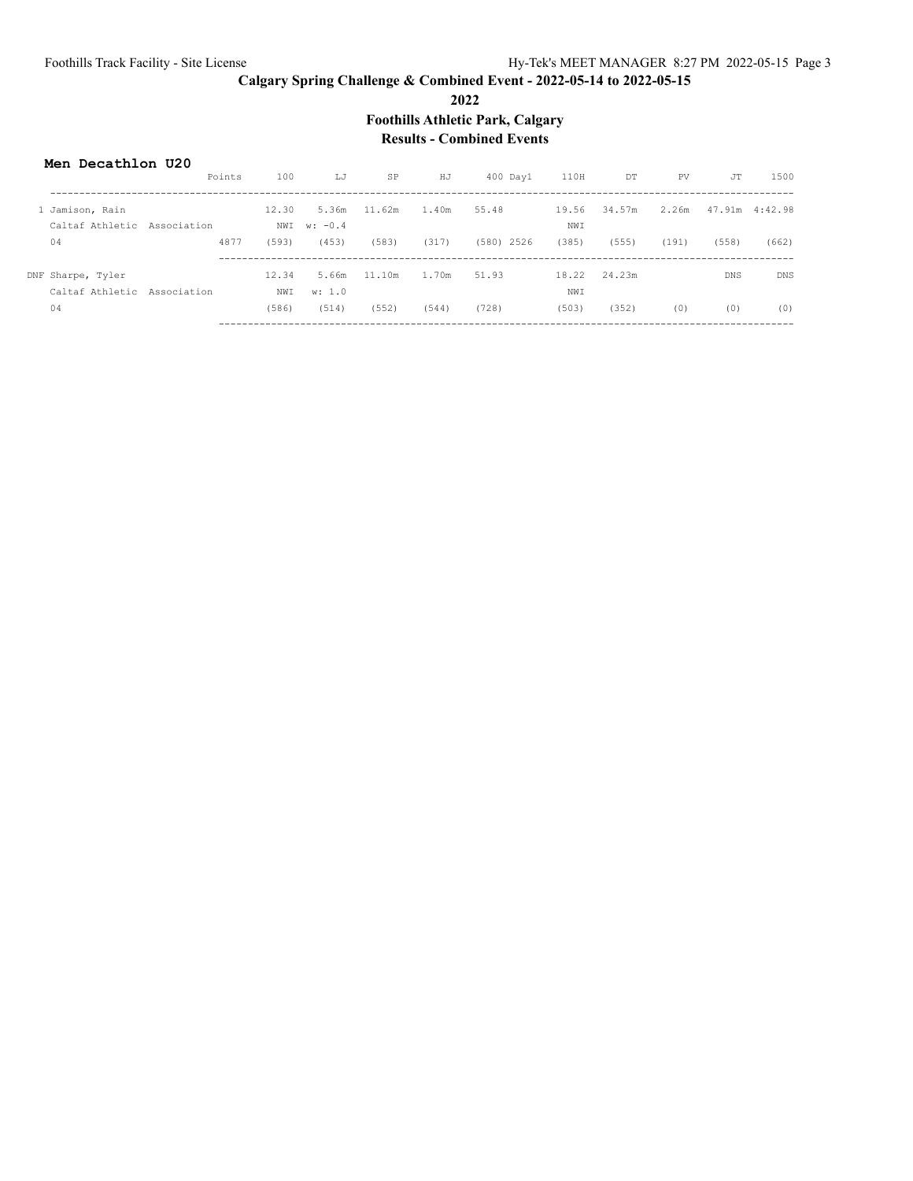**2022**

**Foothills Athletic Park, Calgary**

## **Results - Combined Events**

#### **Men Decathlon U20**

|                             | Points      | 100   | LJ        | SP     | HJ    | $400$ Day $1$ | 110H  | DT     | PV    | JT         | 1500            |
|-----------------------------|-------------|-------|-----------|--------|-------|---------------|-------|--------|-------|------------|-----------------|
| 1 Jamison, Rain             |             | 12.30 | 5.36m     | 11.62m | 1.40m | 55.48         | 19.56 | 34.57m | 2.26m |            | 47.91m  4:42.98 |
| Caltaf Athletic Association |             | NWI   | $w: -0.4$ |        |       |               | NWI   |        |       |            |                 |
| 04                          | 4877        | (593) | (453)     | (583)  | (317) | $(580)$ 2526  | (385) | (555)  | (191) | (558)      | (662)           |
|                             |             |       |           |        |       |               |       |        |       |            |                 |
| DNF Sharpe, Tyler           |             | 12.34 | 5.66m     | 11.10m | 1.70m | 51.93         | 18.22 | 24.23m |       | <b>DNS</b> | <b>DNS</b>      |
| Caltaf Athletic             | Association | NWI   | w: 1.0    |        |       |               | NWI   |        |       |            |                 |
| 04                          |             | (586) | (514)     | (552)  | (544) | (728)         | (503) | (352)  | (0)   | (0)        | (0)             |
|                             |             |       |           |        |       |               |       |        |       |            |                 |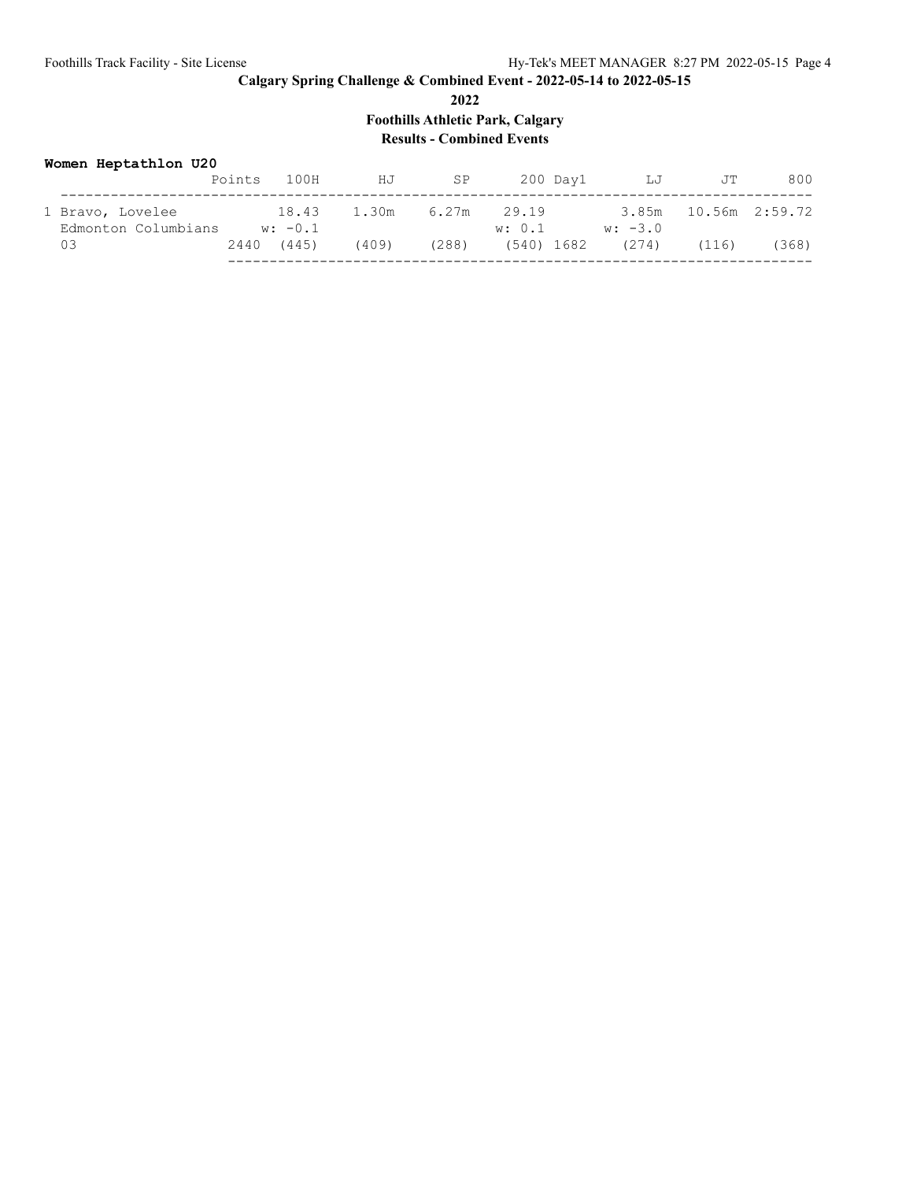**Foothills Athletic Park, Calgary**

## **Results - Combined Events**

#### **Women Heptathlon U20**

|                                         | Points | 100H               | HJ    | SP    | 200 Day1             | LJ        | JT                   | 800   |
|-----------------------------------------|--------|--------------------|-------|-------|----------------------|-----------|----------------------|-------|
| 1 Bravo, Lovelee<br>Edmonton Columbians |        | 18.43<br>$w: -0.1$ | 1.30m | 6.27m | 29.19<br>w: 0.1      | $w: -3.0$ | 3.85m 10.56m 2:59.72 |       |
|                                         |        | 2440 (445)         | (409) | (288) | $(540)$ 1682 $(274)$ |           | (116)                | (368) |
|                                         |        |                    |       |       |                      |           |                      |       |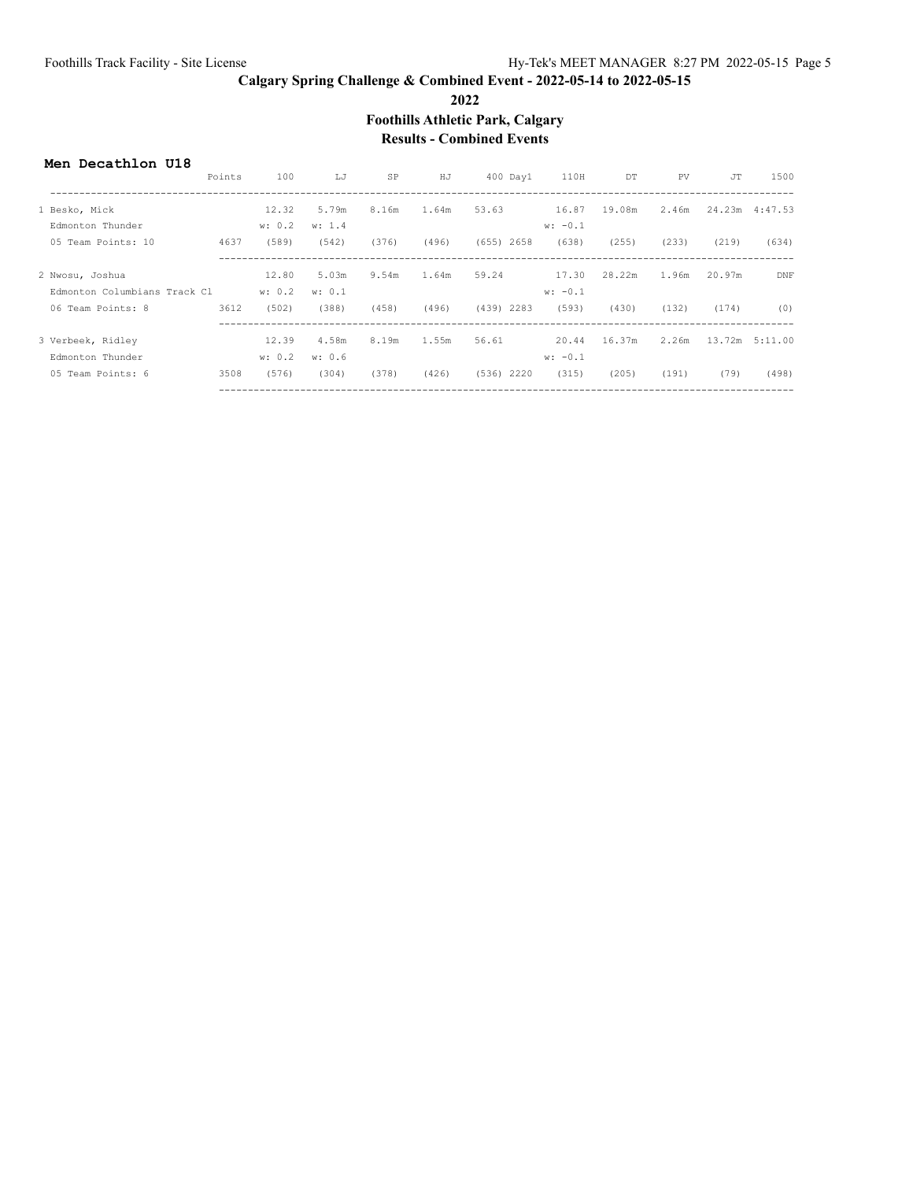**2022**

**Foothills Athletic Park, Calgary**

#### **Results - Combined Events**

#### **Men Decathlon U18**

|                              | Points | 100    | LJ     | SP    | HJ    | 400 Day1     | 110H      | DT     | PV    | <b>JT</b> | 1500           |
|------------------------------|--------|--------|--------|-------|-------|--------------|-----------|--------|-------|-----------|----------------|
| 1 Besko, Mick                |        | 12.32  | 5.79m  | 8.16m | 1.64m | 53.63        | 16.87     | 19.08m | 2.46m |           | 24.23m 4:47.53 |
| Edmonton Thunder             |        | w: 0.2 | w: 1.4 |       |       |              | $w: -0.1$ |        |       |           |                |
| 05 Team Points: 10           | 4637   | (589)  | (542)  | (376) | (496) | $(655)$ 2658 | (638)     | (255)  | (233) | (219)     | (634)          |
| 2 Nwosu, Joshua              |        | 12.80  | 5.03m  | 9.54m | 1.64m | 59.24        | 17.30     | 28.22m | 1.96m | 20.97m    | <b>DNF</b>     |
| Edmonton Columbians Track Cl |        | w: 0.2 | w: 0.1 |       |       |              | $w: -0.1$ |        |       |           |                |
| 06 Team Points: 8            | 3612   | (502)  | (388)  | (458) | (496) | (439) 2283   | (593)     | (430)  | (132) | (174)     | (0)            |
| 3 Verbeek, Ridley            |        | 12.39  | 4.58m  | 8.19m | 1.55m | 56.61        | 20.44     | 16.37m | 2.26m |           | 13.72m 5:11.00 |
| Edmonton Thunder             |        | w: 0.2 | w: 0.6 |       |       |              | $w: -0.1$ |        |       |           |                |
| 05 Team Points: 6            | 3508   | (576)  | (304)  | (378) | (426) | $(536)$ 2220 | (315)     | (205)  | (191) | (79)      | (498)          |
|                              |        |        |        |       |       |              |           |        |       |           |                |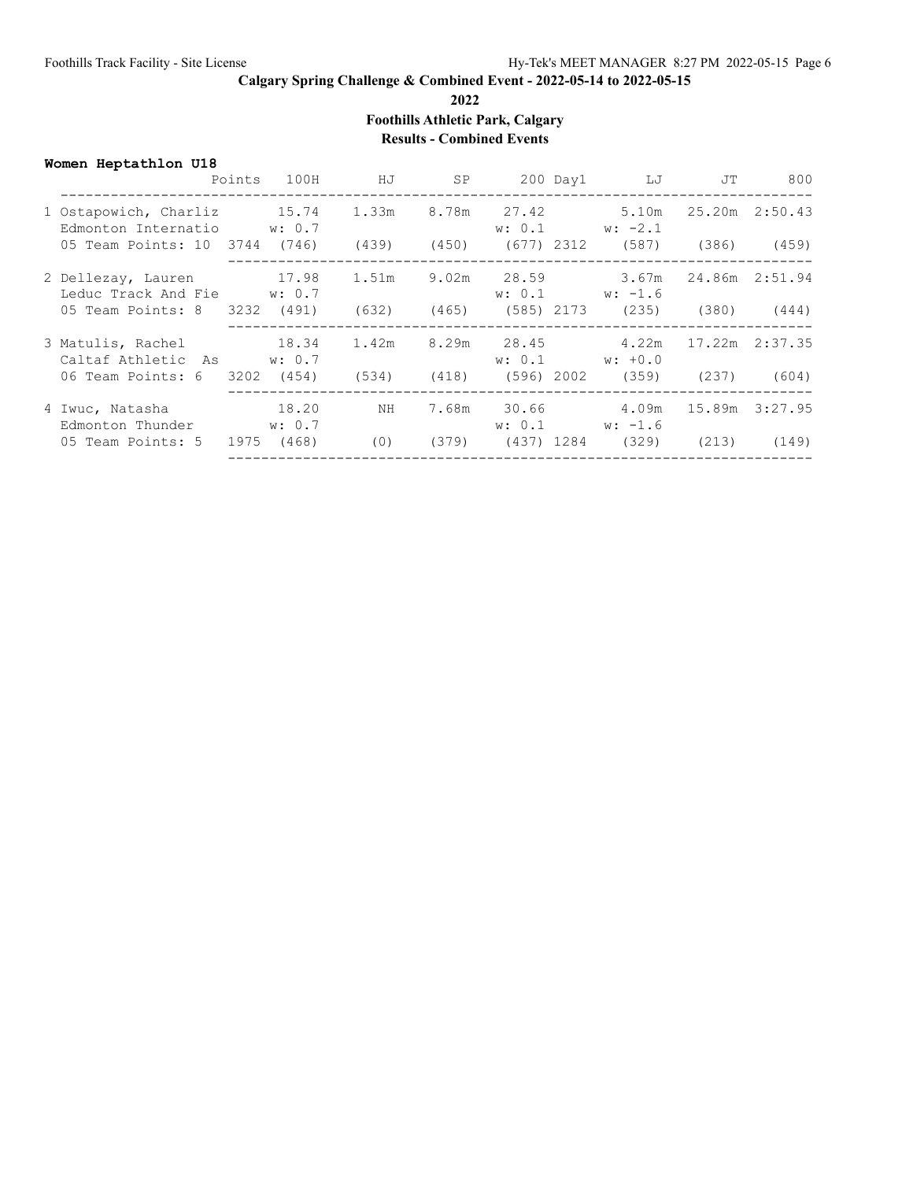**2022**

**Foothills Athletic Park, Calgary**

## **Results - Combined Events**

|  | Women Heptathlon U18 |  |
|--|----------------------|--|
|--|----------------------|--|

| 8.78m  27.42  5.10m<br>1 Ostapowich, Charliz 15.74<br>1.33m<br>25.20m 2:50.43<br>Edmonton Internatio w: 0.7<br>$w: 0.1$ $w: -2.1$<br>05 Team Points: 10 3744 (746) (439) (450) (677) 2312 (587) (386) (459)<br>17.98<br>$9.02m$ $28.59$<br>3.67m<br>1.51m<br>24.86m  2:51.94<br>2 Dellezay, Lauren<br>Leduc Track And Fie W: 0.7<br>$w: 0.1$ $w: -1.6$<br>$(465)$ $(585)$ $2173$ $(235)$ $(380)$ $(444)$<br>05 Team Points: 8 3232 (491)<br>(632)<br>3 Matulis, Rachel 18.34<br>8.29m 28.45 4.22m<br>17.22m 2:37.35<br>1.42m<br>Caltaf Athletic As w: 0.7<br>$w: 0.1$ $w: +0.0$<br>$(418)$ (596) 2002 (359) (237) (604)<br>06 Team Points: 6 3202 (454) (534)<br>18.20<br>4.09m<br>7.68m 30.66<br>15.89m 3:27.95<br>4 Iwuc, Natasha<br>NH<br>Edmonton Thunder w: 0.7<br>$w: 0.1$ $w: -1.6$<br>(468)<br>$(379)$ $(437)$ 1284 $(329)$<br>05 Team Points: 5<br>(0)<br>1975<br>(213) |  | Points | 100H | HJ HJ | SP |  | 200 Day1 LJ | JT | 800   |
|----------------------------------------------------------------------------------------------------------------------------------------------------------------------------------------------------------------------------------------------------------------------------------------------------------------------------------------------------------------------------------------------------------------------------------------------------------------------------------------------------------------------------------------------------------------------------------------------------------------------------------------------------------------------------------------------------------------------------------------------------------------------------------------------------------------------------------------------------------------------------------|--|--------|------|-------|----|--|-------------|----|-------|
|                                                                                                                                                                                                                                                                                                                                                                                                                                                                                                                                                                                                                                                                                                                                                                                                                                                                                  |  |        |      |       |    |  |             |    |       |
|                                                                                                                                                                                                                                                                                                                                                                                                                                                                                                                                                                                                                                                                                                                                                                                                                                                                                  |  |        |      |       |    |  |             |    |       |
|                                                                                                                                                                                                                                                                                                                                                                                                                                                                                                                                                                                                                                                                                                                                                                                                                                                                                  |  |        |      |       |    |  |             |    |       |
|                                                                                                                                                                                                                                                                                                                                                                                                                                                                                                                                                                                                                                                                                                                                                                                                                                                                                  |  |        |      |       |    |  |             |    |       |
|                                                                                                                                                                                                                                                                                                                                                                                                                                                                                                                                                                                                                                                                                                                                                                                                                                                                                  |  |        |      |       |    |  |             |    |       |
|                                                                                                                                                                                                                                                                                                                                                                                                                                                                                                                                                                                                                                                                                                                                                                                                                                                                                  |  |        |      |       |    |  |             |    |       |
|                                                                                                                                                                                                                                                                                                                                                                                                                                                                                                                                                                                                                                                                                                                                                                                                                                                                                  |  |        |      |       |    |  |             |    |       |
|                                                                                                                                                                                                                                                                                                                                                                                                                                                                                                                                                                                                                                                                                                                                                                                                                                                                                  |  |        |      |       |    |  |             |    | (149) |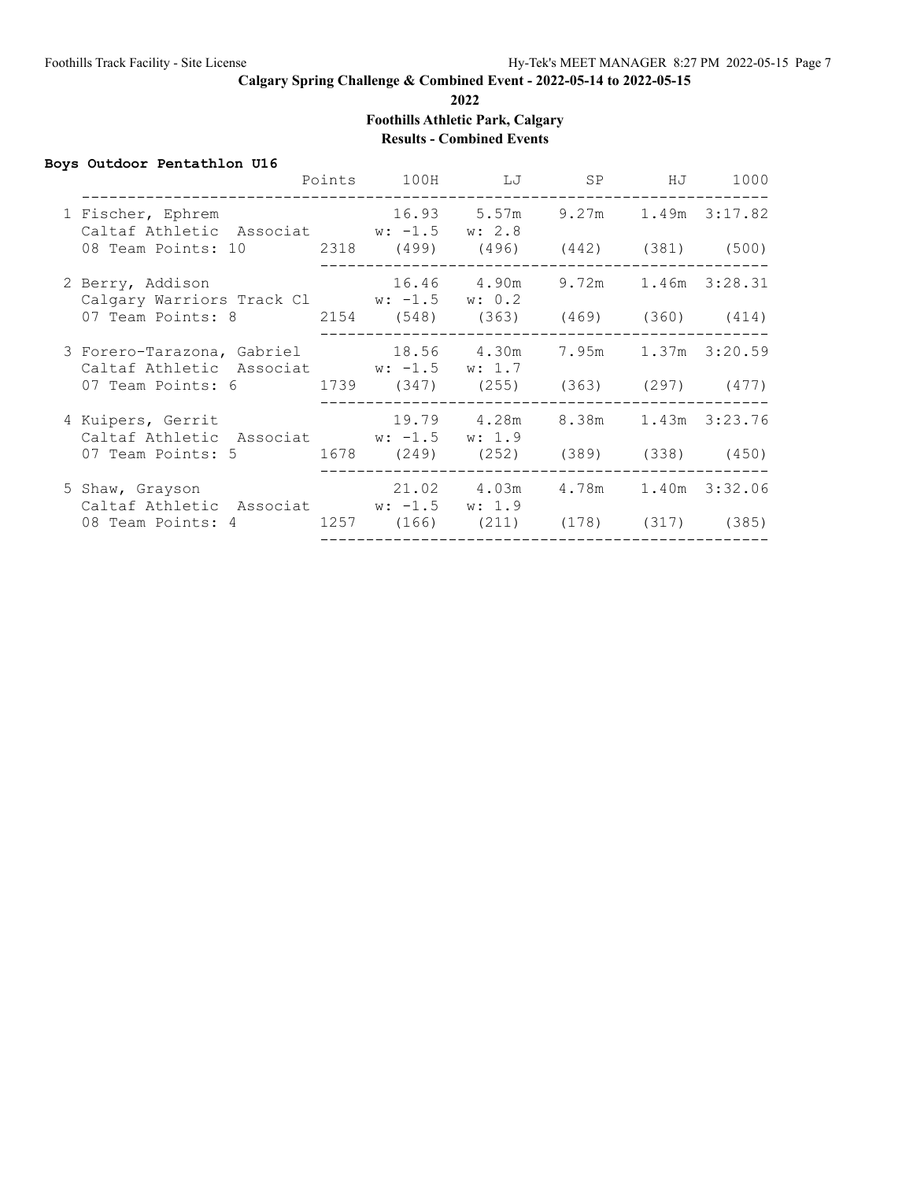**2022**

**Foothills Athletic Park, Calgary**

# **Results - Combined Events**

#### **Boys Outdoor Pentathlon U16**

|                                                                                                       | Points 100H LJ SP HJ                |                                    |  | 1000 |
|-------------------------------------------------------------------------------------------------------|-------------------------------------|------------------------------------|--|------|
| 1 Fischer, Ephrem<br>Caltaf Athletic Associat w: -1.5 w: 2.8                                          | 16.93 5.57m 9.27m 1.49m 3:17.82     |                                    |  |      |
| 08 Team Points: 10  2318  (499)  (496)  (442)  (381)  (500)                                           |                                     | ---------------------------------- |  |      |
| 16.46  4.90m  9.72m  1.46m  3:28.31<br>2 Berry, Addison<br>Calgary Warriors Track Cl W: -1.5 W: 0.2   |                                     |                                    |  |      |
| 07 Team Points: 8 2154 (548) (363) (469) (360) (414)                                                  |                                     | ---------------------------------  |  |      |
| 3 Forero-Tarazona, Gabriel 18.56 4.30m 7.95m 1.37m 3:20.59<br>Caltaf Athletic Associat w: -1.5 w: 1.7 |                                     |                                    |  |      |
| 07 Team Points: 6 1739 (347) (255) (363) (297) (477)                                                  |                                     |                                    |  |      |
| 4 Kuipers, Gerrit<br>Caltaf Athletic Associat W: -1.5 W: 1.9                                          | 19.79  4.28m  8.38m  1.43m  3:23.76 | ------------------------------     |  |      |
| 07 Team Points: 5 1678 (249) (252) (389) (338) (450)                                                  |                                     |                                    |  |      |
| 5 Shaw, Grayson 21.02 4.03m 4.78m 1.40m 3:32.06<br>Caltaf Athletic Associat W: -1.5 W: 1.9            |                                     |                                    |  |      |
| 08 Team Points: 4 1257 (166) (211) (178) (317) (385)                                                  |                                     |                                    |  |      |
|                                                                                                       |                                     |                                    |  |      |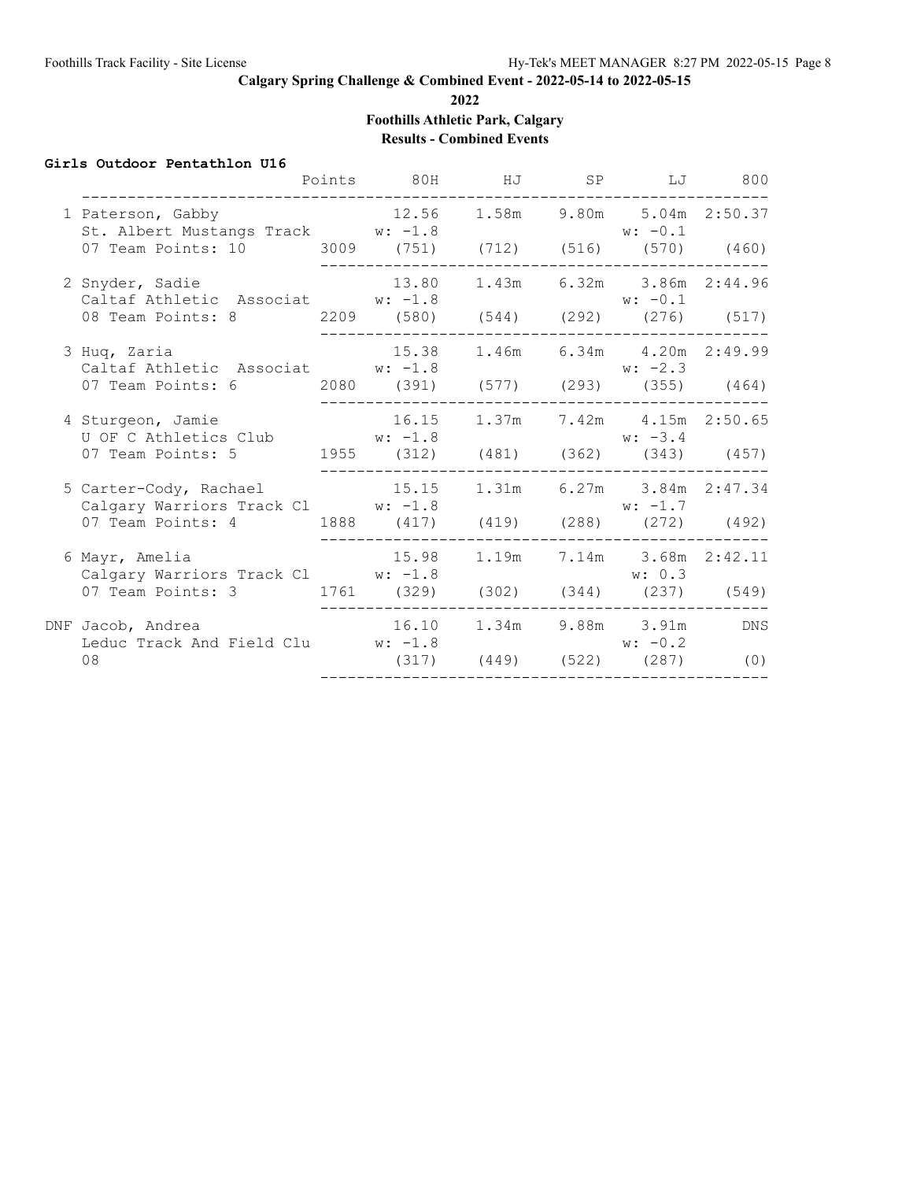**2022**

**Foothills Athletic Park, Calgary**

**Results - Combined Events**

#### **Girls Outdoor Pentathlon U16**

|                                                                                                                 | Points | 80H                              | HJ    | SP              | LJ                                                                    | 800               |
|-----------------------------------------------------------------------------------------------------------------|--------|----------------------------------|-------|-----------------|-----------------------------------------------------------------------|-------------------|
| 1 Paterson, Gabby<br>St. Albert Mustangs Track W: -1.8<br>07 Team Points: 10 3009 (751) (712) (516) (570) (460) |        | 12.56                            |       |                 | 1.58m 9.80m 5.04m 2:50.37<br>$w: -0.1$                                |                   |
| 2 Snyder, Sadie<br>Caltaf Athletic Associat W: -1.8<br>08 Team Points: 8                                        |        | 13.80<br>2209 (580)              | 1.43m |                 | 6.32m 3.86m 2:44.96<br>$w: -0.1$<br>$(544)$ $(292)$ $(276)$ $(517)$   |                   |
| 3 Huq, Zaria<br>Caltaf Athletic Associat W: -1.8<br>07 Team Points: 6                                           |        | 15.38<br>2080 (391)              | 1.46m |                 | 6.34m  4.20m  2:49.99<br>$w: -2.3$<br>$(577)$ $(293)$ $(355)$ $(464)$ |                   |
| 4 Sturgeon, Jamie<br>U OF C Athletics Club<br>07 Team Points: 5                                                 |        | 16.15<br>$w: -1.8$<br>1955 (312) | 1.37m |                 | 7.42m 4.15m 2:50.65<br>$w: -3.4$<br>$(481)$ $(362)$ $(343)$           | (457)             |
| 5 Carter-Cody, Rachael<br>Calgary Warriors Track Cl W: -1.8<br>07 Team Points: 4                                |        | 15.15<br>1888 (417)              | 1.31m | $(419)$ $(288)$ | 6.27m 3.84m 2:47.34<br>$w: -1.7$<br>(272)                             | (492)             |
| 6 Mayr, Amelia<br>Calgary Warriors Track Cl W: -1.8<br>07 Team Points: 3                                        |        | 15.98<br>1761 (329)              | 1.19m |                 | 7.14m 3.68m<br>w: 0.3<br>(302) (344) (237)                            | 2:42.11<br>(549)  |
| DNF Jacob, Andrea<br>Leduc Track And Field Clu W: -1.8<br>08                                                    |        | 16.10<br>(317)                   | 1.34m | $(449)$ $(522)$ | 9.88m 3.91m<br>$w: -0.2$<br>(287)                                     | <b>DNS</b><br>(0) |
|                                                                                                                 |        |                                  |       |                 |                                                                       |                   |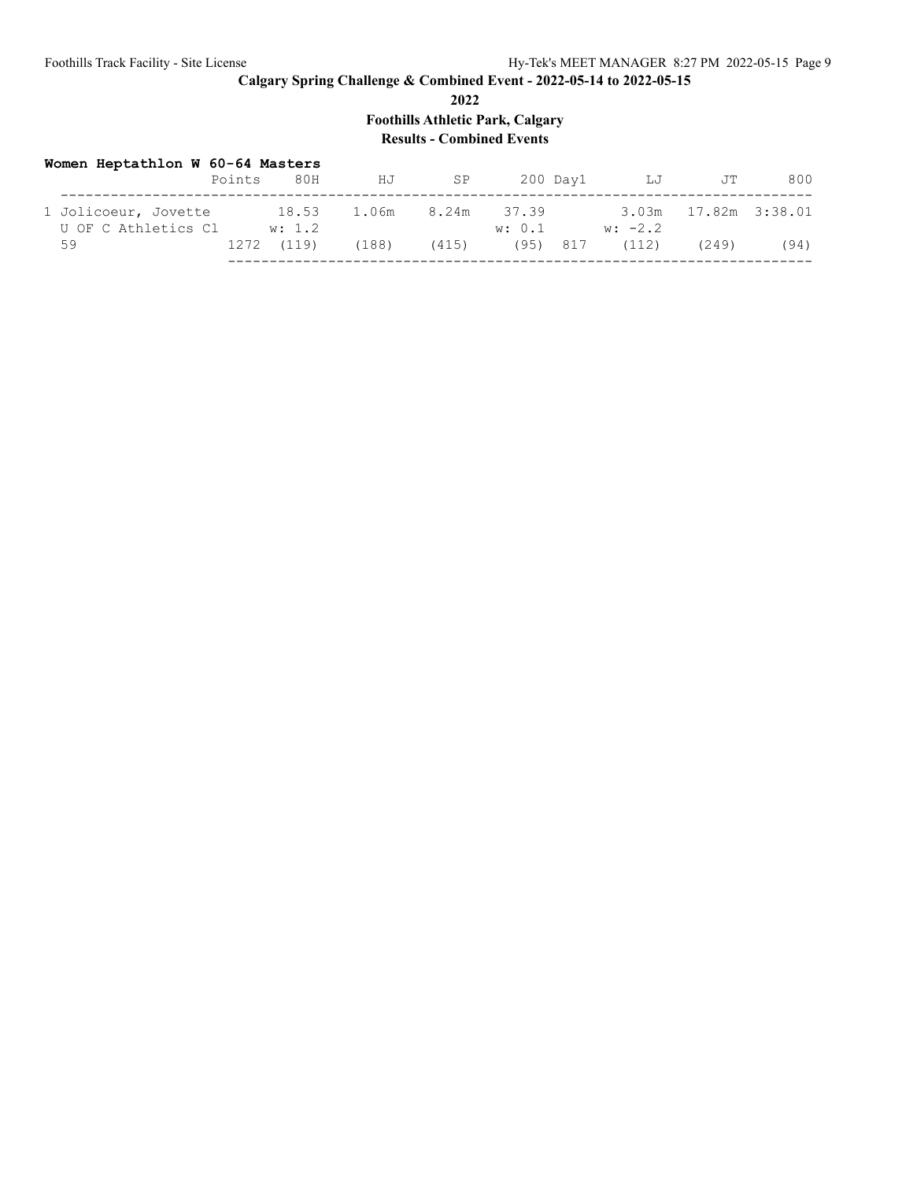**2022**

**Foothills Athletic Park, Calgary**

# **Results - Combined Events**

| Women Heptathlon W 60-64 Masters            | Points | 80H             | HJ    | SP          |        | 200 Day1 | LJ                 | JT                   | 800  |
|---------------------------------------------|--------|-----------------|-------|-------------|--------|----------|--------------------|----------------------|------|
| 1 Jolicoeur, Jovette<br>U OF C Athletics Cl |        | 18.53<br>w: 1.2 | 1.06m | 8.24m 37.39 | w: 0.1 |          | $w: -2.2$          | 3.03m 17.82m 3:38.01 |      |
| 59                                          | 1272   | (119)           | (188) | (415)       |        |          | $(95)$ 817 $(112)$ | (249)                | (94) |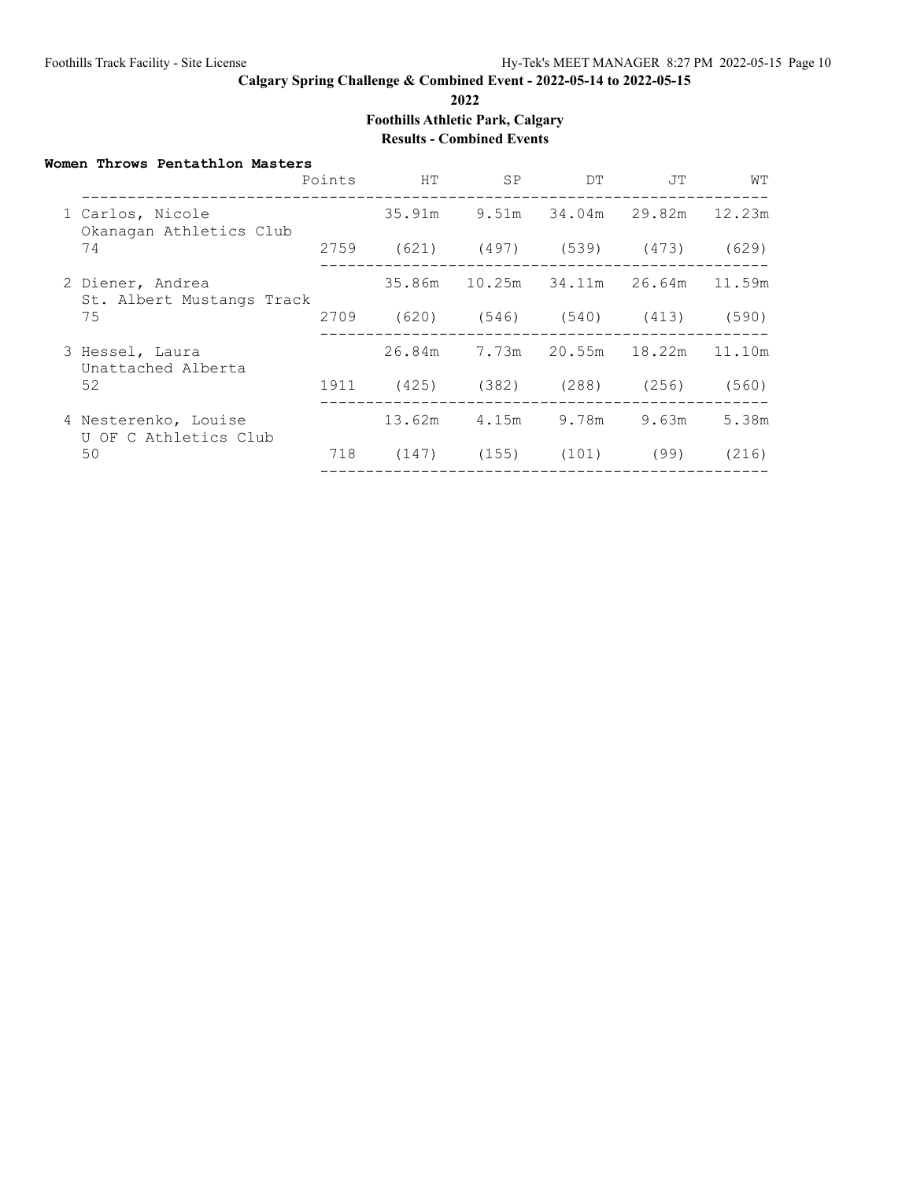**2022**

**Foothills Athletic Park, Calgary**

## **Results - Combined Events**

#### **Women Throws Pentathlon Masters**

|  |                                                     | Points | HT                                 | SP.                                | DT. | JT                   | WТ     |
|--|-----------------------------------------------------|--------|------------------------------------|------------------------------------|-----|----------------------|--------|
|  | 1 Carlos, Nicole<br>Okanagan Athletics Club         |        | 35.91m                             | 9.51m                              |     | 34.04m 29.82m 12.23m |        |
|  | 74                                                  |        | 2759 (621) (497) (539) (473)       |                                    |     |                      | (629)  |
|  | 2 Diener, Andrea<br>St. Albert Mustangs Track       |        |                                    | 35.86m 10.25m 34.11m 26.64m 11.59m |     |                      |        |
|  | 75                                                  |        | 2709 (620) (546) (540) (413) (590) |                                    |     |                      |        |
|  | 3 Hessel, Laura<br>Unattached Alberta               |        |                                    | 26.84m 7.73m 20.55m 18.22m         |     |                      | 11.10m |
|  | 52                                                  |        | 1911 (425) (382) (288) (256)       |                                    |     |                      | (560)  |
|  | 4 Nesterenko, Louise<br>U OF C Athletics Club<br>50 |        | 13.62m                             |                                    |     | 4.15m 9.78m 9.63m    | 5.38m  |
|  |                                                     | 718    |                                    | $(147)$ $(155)$ $(101)$ $(99)$     |     |                      | (216)  |
|  |                                                     |        |                                    |                                    |     |                      |        |